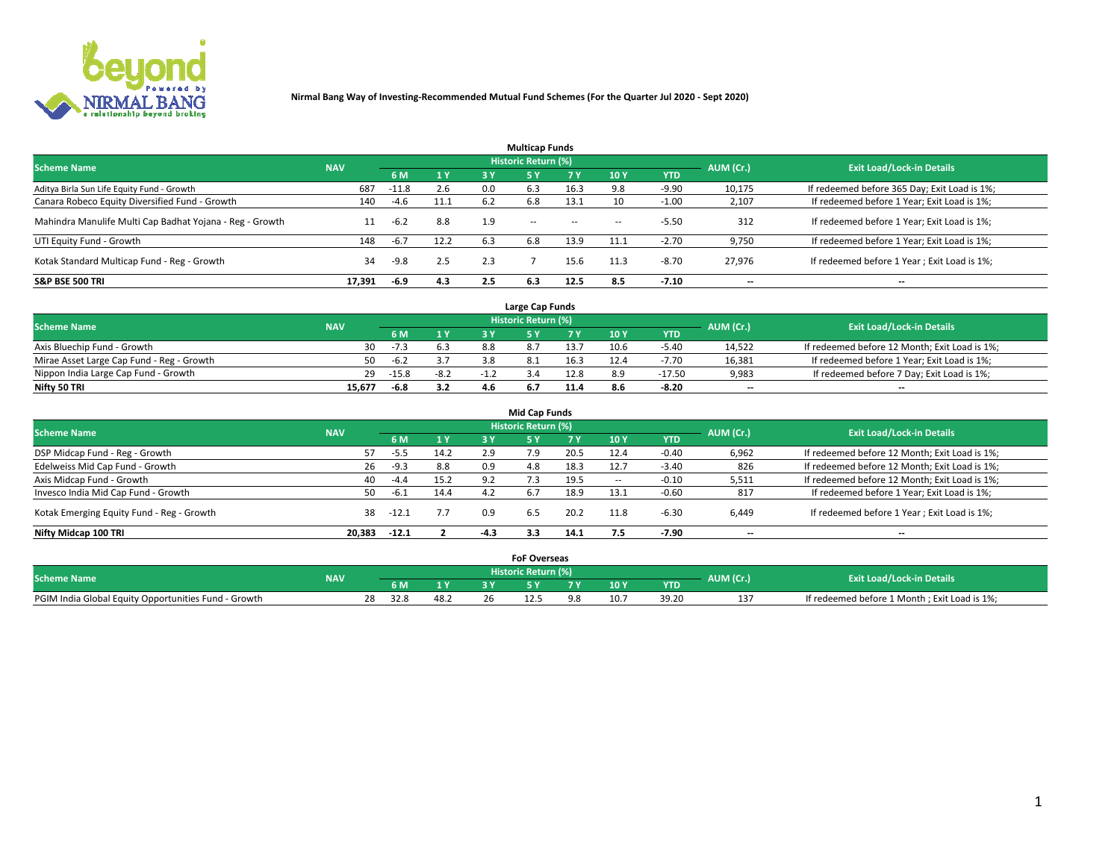

|                                                          |            |         |           |     | <b>Multicap Funds</b> |           |                          |            |           |                                              |
|----------------------------------------------------------|------------|---------|-----------|-----|-----------------------|-----------|--------------------------|------------|-----------|----------------------------------------------|
| <b>Scheme Name</b>                                       | <b>NAV</b> |         |           |     | Historic Return (%)   |           |                          |            | AUM (Cr.) | <b>Exit Load/Lock-in Details</b>             |
|                                                          |            | 6 M     | <b>1Y</b> | 3 Y | <b>5Y</b>             | <b>7Y</b> | 10Y                      | <b>YTD</b> |           |                                              |
| Aditya Birla Sun Life Equity Fund - Growth               | 687        | $-11.8$ | 2.6       | 0.0 | 6.3                   | 16.3      |                          | $-9.90$    | 10,175    | If redeemed before 365 Day; Exit Load is 1%; |
| Canara Robeco Equity Diversified Fund - Growth           | 140        | $-4.6$  | 11.1      | 6.2 | 6.8                   | 13.1      | 10                       | $-1.00$    | 2,107     | If redeemed before 1 Year; Exit Load is 1%;  |
| Mahindra Manulife Multi Cap Badhat Yojana - Reg - Growth | 11         | $-6.2$  | 8.8       | 1.9 | $\sim$ $-$            | $\sim$    | $\overline{\phantom{a}}$ | $-5.50$    | 312       | If redeemed before 1 Year; Exit Load is 1%;  |
| UTI Equity Fund - Growth                                 | 148        | $-6.7$  | 12.2      | 6.3 | 6.8                   | 13.9      | 11.1                     | $-2.70$    | 9,750     | If redeemed before 1 Year; Exit Load is 1%;  |
| Kotak Standard Multicap Fund - Reg - Growth              | 34         | $-9.8$  | 2.5       | 2.3 |                       | 15.6      | 11.3                     | $-8.70$    | 27.976    | If redeemed before 1 Year; Exit Load is 1%;  |
| <b>S&amp;P BSE 500 TRI</b>                               | 17.391     | $-6.9$  | 4.3       | 2.5 | 6.3                   | 12.5      | 8.5                      | $-7.10$    | --        | $- -$                                        |

|                                           |            |         |                |      | Large Cap Funds     |      |      |            |                          |                                               |
|-------------------------------------------|------------|---------|----------------|------|---------------------|------|------|------------|--------------------------|-----------------------------------------------|
| <b>Scheme Name</b>                        | <b>NAV</b> |         |                |      | Historic Return (%) |      |      |            | AUM (Cr.)                | <b>Exit Load/Lock-in Details</b>              |
|                                           |            | 6 M     | 4 <sub>Y</sub> |      |                     |      | 10 Y | <b>YTD</b> |                          |                                               |
| Axis Bluechip Fund - Growth               | 30         | $-7.3$  |                | 8.8  |                     | 13.7 | 10.6 | $-5.40$    | 14,522                   | If redeemed before 12 Month; Exit Load is 1%; |
| Mirae Asset Large Cap Fund - Reg - Growth | 50         | $-6.2$  |                |      |                     | 16.3 |      | $-7.70$    | 16,381                   | If redeemed before 1 Year; Exit Load is 1%;   |
| Nippon India Large Cap Fund - Growth      | 29         | $-15.8$ | $-8.2$         | - 11 |                     | 12.8 |      | $-17.50$   | 9,983                    | If redeemed before 7 Day; Exit Load is 1%;    |
| Nifty 50 TRI                              | 15.677     | $-6.8$  | 3.2            | 4.6  |                     |      |      | $-8.20$    | $\overline{\phantom{a}}$ | $- -$                                         |

| <b>Mid Cap Funds</b>                      |            |         |      |        |                            |       |            |            |                          |                                               |  |  |  |
|-------------------------------------------|------------|---------|------|--------|----------------------------|-------|------------|------------|--------------------------|-----------------------------------------------|--|--|--|
| <b>Scheme Name</b>                        | <b>NAV</b> |         |      |        | <b>Historic Return (%)</b> |       |            |            | AUM (Cr.)                | <b>Exit Load/Lock-in Details</b>              |  |  |  |
|                                           |            | 6 M     | 1Y   | 3 Y    |                            | 7 V . | <b>10Y</b> | <b>YTD</b> |                          |                                               |  |  |  |
| DSP Midcap Fund - Reg - Growth            |            | -5.5    | 14.2 | 2.9    | 7.9                        | 20.5  | 12.4       | $-0.40$    | 6,962                    | If redeemed before 12 Month; Exit Load is 1%; |  |  |  |
| Edelweiss Mid Cap Fund - Growth           | 26         | $-9.3$  | 8.8  | 0.9    | 4.8                        | 18.3  | 12.7       | $-3.40$    | 826                      | If redeemed before 12 Month; Exit Load is 1%; |  |  |  |
| Axis Midcap Fund - Growth                 | 40         | $-4.4$  | 15.2 | 9.2    |                            | 19.5  |            | $-0.10$    | 5,511                    | If redeemed before 12 Month; Exit Load is 1%; |  |  |  |
| Invesco India Mid Cap Fund - Growth       | 50         | $-6.1$  | 14.4 | 4.2    | 6.7                        | 18.9  | 13.1       | $-0.60$    | 817                      | If redeemed before 1 Year; Exit Load is 1%;   |  |  |  |
| Kotak Emerging Equity Fund - Reg - Growth | 38         | -12.1   | 7.7  | 0.9    | 6.5                        | 20.2  | 11.8       | -6.30      | 6,449                    | If redeemed before 1 Year; Exit Load is 1%;   |  |  |  |
| Nifty Midcap 100 TRI                      | 20.383     | $-12.1$ |      | $-4.3$ | 3.3                        | 14.1  | 7.5        | -7.90      | $\overline{\phantom{a}}$ | $- -$                                         |  |  |  |

|                                                      |            |      |      | <b>FoF Overseas</b> |      |            |           |                                              |
|------------------------------------------------------|------------|------|------|---------------------|------|------------|-----------|----------------------------------------------|
| <b>Scheme Name</b>                                   | <b>NAV</b> |      |      | Historic Return (%) |      |            | AUM (Cr.) | <b>Exit Load/Lock-in Details</b>             |
|                                                      |            | 6 M  | 1Y   |                     | 10 Y | <b>YTD</b> |           |                                              |
| PGIM India Global Equity Opportunities Fund - Growth |            | 32.8 | 48.2 |                     |      |            |           | If redeemed before 1 Month; Exit Load is 1%; |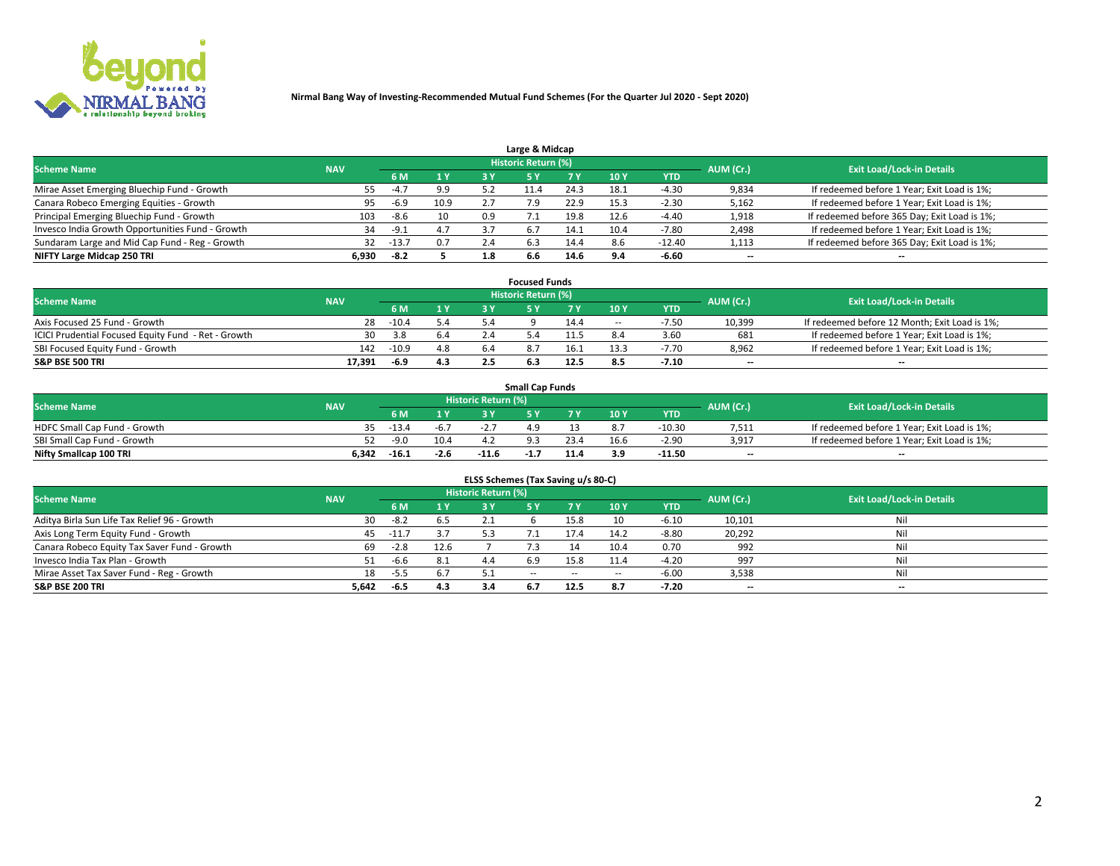

| Large & Midcap                                   |            |         |      |     |                     |      |      |            |                          |                                              |  |  |  |  |
|--------------------------------------------------|------------|---------|------|-----|---------------------|------|------|------------|--------------------------|----------------------------------------------|--|--|--|--|
| <b>Scheme Name</b>                               | <b>NAV</b> |         |      |     | Historic Return (%) |      |      |            | AUM (Cr.)                | <b>Exit Load/Lock-in Details</b>             |  |  |  |  |
|                                                  |            | 6 M     | 1 Y  | 3 Y |                     | 7 V  | 10Y  | <b>YTD</b> |                          |                                              |  |  |  |  |
| Mirae Asset Emerging Bluechip Fund - Growth      | 55         | $-4.7$  | 9.9  |     |                     | 24.3 | 18.1 | -4.30      | 9,834                    | If redeemed before 1 Year; Exit Load is 1%;  |  |  |  |  |
| Canara Robeco Emerging Equities - Growth         | 95         | $-6.9$  | 10.9 |     |                     | 22.9 | 15.3 | $-2.30$    | 5,162                    | If redeemed before 1 Year; Exit Load is 1%;  |  |  |  |  |
| Principal Emerging Bluechip Fund - Growth        | 103        | -8.6    | 10   | 0.9 |                     | 19.8 | 12.6 | $-4.40$    | 1,918                    | If redeemed before 365 Day; Exit Load is 1%; |  |  |  |  |
| Invesco India Growth Opportunities Fund - Growth | 34         | -9.1    | 4.7  | 37  | 6.7                 | 14.1 | 10.4 | $-7.80$    | 2,498                    | If redeemed before 1 Year; Exit Load is 1%;  |  |  |  |  |
| Sundaram Large and Mid Cap Fund - Reg - Growth   | 32         | $-13.7$ | 0.7  | 2.4 | 6.3                 | 14.4 | 8.6  | $-12.40$   | 1,113                    | If redeemed before 365 Day; Exit Load is 1%; |  |  |  |  |
| NIFTY Large Midcap 250 TRI                       | 6.930      | -8.2    |      | 1.8 | 6.6                 |      | 0 A  | $-6.60$    | $\overline{\phantom{a}}$ | $- -$                                        |  |  |  |  |

|                                                     |            |         |     |     | <b>Focused Funds</b>       |      |        |            |                          |                                               |
|-----------------------------------------------------|------------|---------|-----|-----|----------------------------|------|--------|------------|--------------------------|-----------------------------------------------|
| <b>Scheme Name</b>                                  | <b>NAV</b> |         |     |     | <b>Historic Return (%)</b> |      |        |            | AUM (Cr.)                | <b>Exit Load/Lock-in Details</b>              |
|                                                     |            | 6 M     | 1 Y |     |                            |      | 10 Y   | <b>YTD</b> |                          |                                               |
| Axis Focused 25 Fund - Growth                       | 28         | $-10.4$ | 5.4 |     |                            | 14.4 | $\sim$ | $-7.5C$    | 10,399                   | If redeemed before 12 Month; Exit Load is 1%; |
| ICICI Prudential Focused Equity Fund - Ret - Growth | 30         | 3.8     | 6.4 |     |                            |      |        | 3.60       | 681                      | If redeemed before 1 Year; Exit Load is 1%;   |
| SBI Focused Equity Fund - Growth                    | 142        | $-10.9$ | 4.8 | 6.4 |                            | 16.1 |        | $-7.70$    | 8,962                    | If redeemed before 1 Year; Exit Load is 1%;   |
| S&P BSE 500 TRI                                     | 17.391     | -6.9    | 4.3 |     |                            | 12.5 |        | $-7.10$    | $\overline{\phantom{a}}$ | $- -$                                         |

| <b>Small Cap Funds</b>       |            |         |        |                     |      |      |                 |            |           |                                             |  |  |  |
|------------------------------|------------|---------|--------|---------------------|------|------|-----------------|------------|-----------|---------------------------------------------|--|--|--|
| <b>Scheme Name</b>           | <b>NAV</b> |         |        | Historic Return (%) |      |      |                 |            | AUM (Cr.) | <b>Exit Load/Lock-in Details</b>            |  |  |  |
|                              |            | 6 M     |        |                     |      |      | 10 <sub>Y</sub> | <b>YTD</b> |           |                                             |  |  |  |
| HDFC Small Cap Fund - Growth |            | $-13.4$ | -6.7   |                     |      |      |                 | $-10.30$   | 7,511     | If redeemed before 1 Year; Exit Load is 1%; |  |  |  |
| SBI Small Cap Fund - Growth  | 52.        | $-9.0$  | 10.4   |                     |      |      | 16.6            | $-2.90$    | 3,917     | If redeemed before 1 Year; Exit Load is 1%; |  |  |  |
| Nifty Smallcap 100 TRI       | 6.342      | $-16.1$ | $-2.6$ | $-11.6$             | -1., | 11 A | 3.9             | $-11.50$   | $- -$     | $- -$                                       |  |  |  |

| ELSS Schemes (Tax Saving u/s 80-C)           |            |         |      |                            |           |        |                          |            |                          |                                  |  |  |  |
|----------------------------------------------|------------|---------|------|----------------------------|-----------|--------|--------------------------|------------|--------------------------|----------------------------------|--|--|--|
| <b>Scheme Name</b>                           | <b>NAV</b> |         |      | <b>Historic Return (%)</b> |           |        |                          |            | AUM (Cr.)                | <b>Exit Load/Lock-in Details</b> |  |  |  |
|                                              |            | - 6 M   | 1Y   | 73 Y                       | <b>5Y</b> | 7 Y    | 10 Y                     | <b>YTD</b> |                          |                                  |  |  |  |
| Aditya Birla Sun Life Tax Relief 96 - Growth | 30         | $-8.2$  | 6.5  |                            |           | 15.8   | 10                       | $-6.10$    | 10,101                   | Nil                              |  |  |  |
| Axis Long Term Equity Fund - Growth          | 45         | $-11.7$ | 3.7  | 5.3                        |           |        | 14.2                     | $-8.80$    | 20,292                   | Nil                              |  |  |  |
| Canara Robeco Equity Tax Saver Fund - Growth | 69         | $-2.8$  | 12.6 |                            |           | 14     | 10.4                     | 0.70       | 992                      | Nil                              |  |  |  |
| Invesco India Tax Plan - Growth              |            | $-6.6$  | 8.1  | 4.4                        | 6.9       | 15.8   | 11.4                     | $-4.20$    | 997                      | Nil                              |  |  |  |
| Mirae Asset Tax Saver Fund - Reg - Growth    | 18         | -5.5    |      |                            | $- -$     | $\sim$ | $\overline{\phantom{a}}$ | $-6.00$    | 3,538                    | Nil                              |  |  |  |
| S&P BSE 200 TRI                              | 5,642      | -6.5    | 4.3  |                            |           | 12.5   | 8.7                      | $-7.20$    | $\overline{\phantom{a}}$ | $- -$                            |  |  |  |

# 2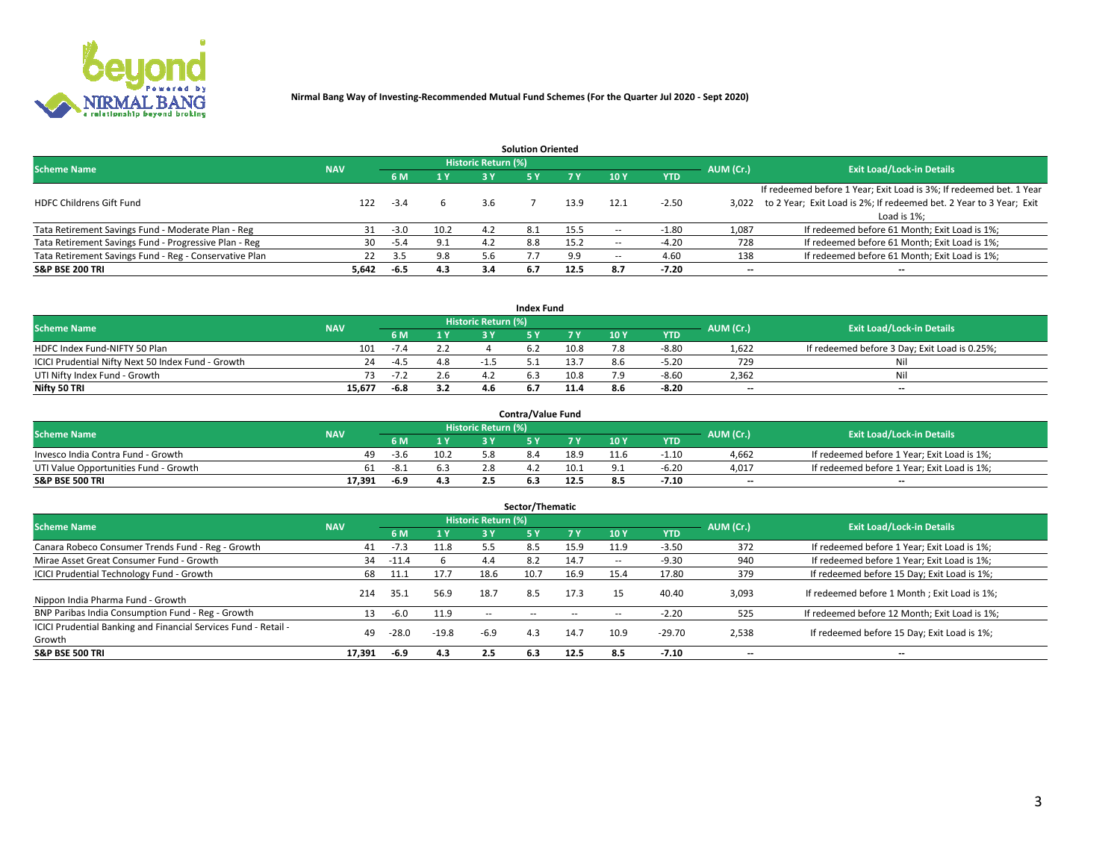

|                                                        |            |            |      |                            | <b>Solution Oriented</b> |      |      |            |                          |                                                                     |
|--------------------------------------------------------|------------|------------|------|----------------------------|--------------------------|------|------|------------|--------------------------|---------------------------------------------------------------------|
| <b>Scheme Name</b>                                     | <b>NAV</b> |            |      | <b>Historic Return (%)</b> |                          |      |      |            | AUM (Cr.)                | <b>Exit Load/Lock-in Details</b>                                    |
|                                                        |            | <b>6 M</b> | 1 Y  | 3 Y                        |                          |      | 10Y  | <b>YTD</b> |                          |                                                                     |
|                                                        |            |            |      |                            |                          |      |      |            |                          | If redeemed before 1 Year; Exit Load is 3%; If redeemed bet. 1 Year |
| <b>HDFC Childrens Gift Fund</b>                        | 122        | $-3.4$     |      | 3.6                        |                          | 13.9 | د.12 | $-2.50$    | 3.022                    | to 2 Year; Exit Load is 2%; If redeemed bet. 2 Year to 3 Year; Exit |
|                                                        |            |            |      |                            |                          |      |      |            |                          | Load is 1%;                                                         |
| Tata Retirement Savings Fund - Moderate Plan - Reg     | 31         | $-3.0$     | 10.2 | 4.2                        | 8.1                      | 15.5 | --   | $-1.80$    | 1,087                    | If redeemed before 61 Month; Exit Load is 1%;                       |
| Tata Retirement Savings Fund - Progressive Plan - Reg  | 30         | -5.4       | 9.1  | 4.2                        | 8.8                      | 15.2 | --   | $-4.20$    | 728                      | If redeemed before 61 Month; Exit Load is 1%;                       |
| Tata Retirement Savings Fund - Reg - Conservative Plan | 22         | 3.5        | 9.8  |                            |                          | 9.9  | --   | 4.60       | 138                      | If redeemed before 61 Month; Exit Load is 1%;                       |
| S&P BSE 200 TRI                                        | 5,642      | -6.5       | 4.3  | 3.4                        | 6.7                      | 12.5 | 8.7  | $-7.20$    | $\overline{\phantom{a}}$ | $- -$                                                               |

|                                                    |            |        |                              |                            | <b>Index Fund</b> |      |      |            |                          |                                               |
|----------------------------------------------------|------------|--------|------------------------------|----------------------------|-------------------|------|------|------------|--------------------------|-----------------------------------------------|
| <b>Scheme Name</b>                                 | <b>NAV</b> |        |                              | <b>Historic Return (%)</b> |                   |      |      |            | AUM (Cr.)                | <b>Exit Load/Lock-in Details</b>              |
|                                                    |            |        | $\triangleq$ $\triangledown$ | 2 V                        |                   | 7 V  | 10 Y | <b>YTD</b> |                          |                                               |
| HDFC Index Fund-NIFTY 50 Plan                      | 101        | $-7.4$ |                              |                            |                   | 10.8 |      | $-8.80$    | 1,622                    | If redeemed before 3 Day; Exit Load is 0.25%; |
| ICICI Prudential Nifty Next 50 Index Fund - Growth | 24         | $-4.5$ | 4.8                          |                            |                   | 13.7 | 8.6  | $-5.20$    | 729                      | Nil                                           |
| UTI Nifty Index Fund - Growth                      |            | ے ۔ ا  | 2.6                          |                            |                   | 10.8 | 7 Q  | $-8.60$    | 2,362                    | Nil                                           |
| Nifty 50 TRI                                       | 15.677     | $-6.8$ | 3.2                          |                            |                   | 11.4 |      | $-8.20$    | $\overline{\phantom{a}}$ | $- -$                                         |

|                                       |            |        |      |                            | <b>Contra/Value Fund</b> |      |      |            |                          |                                             |
|---------------------------------------|------------|--------|------|----------------------------|--------------------------|------|------|------------|--------------------------|---------------------------------------------|
| <b>Scheme Name</b>                    | <b>NAV</b> |        |      | <b>Historic Return (%)</b> |                          |      |      |            | AUM (Cr.)                | <b>Exit Load/Lock-in Details</b>            |
|                                       |            |        | 1 Y  |                            |                          | 7 Y  | 10Y  | <b>YTD</b> |                          |                                             |
| Invesco India Contra Fund - Growth    | 49         | $-3.6$ | 10.2 |                            |                          | 18.9 | 11.6 | $-1.10$    | 4,662                    | If redeemed before 1 Year; Exit Load is 1%; |
| UTI Value Opportunities Fund - Growth | -61        | -8.1   |      |                            |                          | 10.1 |      | -6.20      | 4,017                    | If redeemed before 1 Year; Exit Load is 1%; |
| <b>S&amp;P BSE 500 TRI</b>            | 17,391     | -6.9   | 4.3  |                            |                          |      |      | $-7.10$    | $\overline{\phantom{a}}$ | $- -$                                       |

|                                                                           |            |         |                |                     | Sector/Thematic |        |                          |            |           |                                               |
|---------------------------------------------------------------------------|------------|---------|----------------|---------------------|-----------------|--------|--------------------------|------------|-----------|-----------------------------------------------|
| <b>Scheme Name</b>                                                        | <b>NAV</b> |         |                | Historic Return (%) |                 |        |                          |            | AUM (Cr.) | <b>Exit Load/Lock-in Details</b>              |
|                                                                           |            | 6 M     | 1 <sub>Y</sub> | 3 Y                 | <b>5Y</b>       | 7 Y    | 10Y                      | <b>YTD</b> |           |                                               |
| Canara Robeco Consumer Trends Fund - Reg - Growth                         | 41         | $-7.3$  | 11.8           | 5.5                 | 8.5             | 15.9   | 11.9                     | $-3.50$    | 372       | If redeemed before 1 Year; Exit Load is 1%;   |
| Mirae Asset Great Consumer Fund - Growth                                  | 34         | $-11.4$ |                | 4.4                 |                 | 14.7   | $\overline{\phantom{a}}$ | $-9.30$    | 940       | If redeemed before 1 Year; Exit Load is 1%;   |
| <b>ICICI Prudential Technology Fund - Growth</b>                          | 68         | 11.1    | 17.7           | 18.6                | 10.7            | 16.9   | 15.4                     | 17.80      | 379       | If redeemed before 15 Day; Exit Load is 1%;   |
| Nippon India Pharma Fund - Growth                                         | 214        | 35.1    | 56.9           | 18.7                | 8.5             | 17.3   |                          | 40.40      | 3,093     | If redeemed before 1 Month; Exit Load is 1%;  |
| BNP Paribas India Consumption Fund - Reg - Growth                         | 13         | $-6.0$  | 11.9           | $\sim$ $-$          | $\sim$ $-$      | $\sim$ | $\sim$                   | $-2.20$    | 525       | If redeemed before 12 Month; Exit Load is 1%; |
| ICICI Prudential Banking and Financial Services Fund - Retail -<br>Growth | 49         | $-28.0$ | $-19.8$        | $-6.9$              | 4.3             | 14.7   | 10.9                     | $-29.70$   | 2,538     | If redeemed before 15 Day; Exit Load is 1%;   |
| <b>S&amp;P BSE 500 TRI</b>                                                | 17.391     | -6.9    | 4.3            | 2.5                 | 6.3             | 12.5   | 8.5                      | $-7.10$    | --        | $- -$                                         |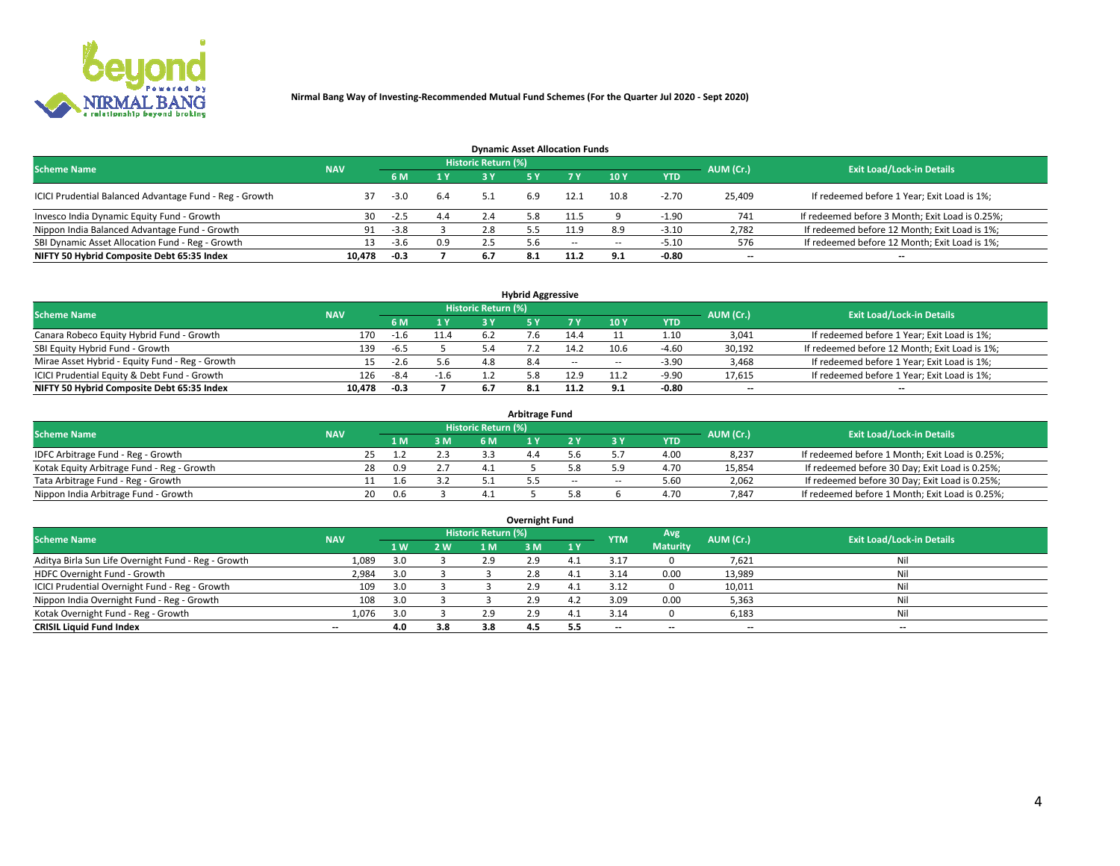

| <b>Dynamic Asset Allocation Funds</b>                   |                                                                                                                 |        |     |      |     |        |                          |            |                          |                                                 |  |  |  |  |  |
|---------------------------------------------------------|-----------------------------------------------------------------------------------------------------------------|--------|-----|------|-----|--------|--------------------------|------------|--------------------------|-------------------------------------------------|--|--|--|--|--|
|                                                         | <b>Historic Return (%)</b><br><b>Exit Load/Lock-in Details</b><br>AUM (Cr.)<br><b>Scheme Name</b><br><b>NAV</b> |        |     |      |     |        |                          |            |                          |                                                 |  |  |  |  |  |
|                                                         |                                                                                                                 |        | 1 Y | 73 V |     |        | 10Y                      | <b>YTD</b> |                          |                                                 |  |  |  |  |  |
| ICICI Prudential Balanced Advantage Fund - Reg - Growth |                                                                                                                 | $-3.0$ | 6.4 |      | 6.9 | 12.1   | 10.8                     | $-2.70$    | 25,409                   | If redeemed before 1 Year; Exit Load is 1%;     |  |  |  |  |  |
| Invesco India Dynamic Equity Fund - Growth              | 30                                                                                                              | -2.5   | 4.4 | 2.4  | 3.8 | 11.5   |                          | $-1.90$    | 741                      | If redeemed before 3 Month; Exit Load is 0.25%; |  |  |  |  |  |
| Nippon India Balanced Advantage Fund - Growth           | 91                                                                                                              | $-3.8$ |     | 2.8  |     | 11.9   | 8.9                      | $-3.10$    | 2,782                    | If redeemed before 12 Month; Exit Load is 1%;   |  |  |  |  |  |
| SBI Dynamic Asset Allocation Fund - Reg - Growth        |                                                                                                                 | -3.6   | 0.9 | 2.5  |     | $\sim$ | $\overline{\phantom{a}}$ | -5.10      | 576                      | If redeemed before 12 Month; Exit Load is 1%;   |  |  |  |  |  |
| NIFTY 50 Hybrid Composite Debt 65:35 Index              | 10.478                                                                                                          | $-0.3$ |     | 6.7  |     | 11.2   | 9.1                      | $-0.80$    | $\overline{\phantom{a}}$ | $- -$                                           |  |  |  |  |  |

| <b>Hybrid Aggressive</b>                                                                                        |        |        |                         |     |  |            |            |            |        |                                               |  |  |  |  |
|-----------------------------------------------------------------------------------------------------------------|--------|--------|-------------------------|-----|--|------------|------------|------------|--------|-----------------------------------------------|--|--|--|--|
| <b>Historic Return (%)</b><br><b>Exit Load/Lock-in Details</b><br>AUM (Cr.)<br><b>Scheme Name</b><br><b>NAV</b> |        |        |                         |     |  |            |            |            |        |                                               |  |  |  |  |
|                                                                                                                 |        |        | $\mathbf{A} \mathbf{v}$ | 2 V |  |            | <b>10Y</b> | <b>YTD</b> |        |                                               |  |  |  |  |
| Canara Robeco Equity Hybrid Fund - Growth                                                                       | 170    |        | 11.4                    |     |  | 14.4       |            | 1.10       | 3,041  | If redeemed before 1 Year; Exit Load is 1%;   |  |  |  |  |
| SBI Equity Hybrid Fund - Growth                                                                                 | 139    | $-6.5$ |                         |     |  | 14.2       | 10.6       | $-4.60$    | 30,192 | If redeemed before 12 Month; Exit Load is 1%; |  |  |  |  |
| Mirae Asset Hybrid - Equity Fund - Reg - Growth                                                                 |        | $-2.6$ | 5.6                     | 4.8 |  | $\sim$ $-$ | $\sim$     | $-3.90$    | 3,468  | If redeemed before 1 Year; Exit Load is 1%;   |  |  |  |  |
| ICICI Prudential Equity & Debt Fund - Growth                                                                    | 126    | $-8.4$ | $-1.6$                  |     |  | 12.9       |            | $-9.90$    | 17,615 | If redeemed before 1 Year; Exit Load is 1%;   |  |  |  |  |
| NIFTY 50 Hybrid Composite Debt 65:35 Index                                                                      | 10.478 | -0.3   |                         |     |  |            |            | -0.80      | --     | $- -$                                         |  |  |  |  |

| <b>Arbitrage Fund</b>                      |            |                                  |     |     |  |  |        |        |      |        |                                                 |  |  |  |
|--------------------------------------------|------------|----------------------------------|-----|-----|--|--|--------|--------|------|--------|-------------------------------------------------|--|--|--|
| <b>Scheme Name</b>                         | AUM (Cr.)  | <b>Exit Load/Lock-in Details</b> |     |     |  |  |        |        |      |        |                                                 |  |  |  |
|                                            | <b>NAV</b> |                                  | 1 M | 3 M |  |  |        |        | YTD  |        |                                                 |  |  |  |
| IDFC Arbitrage Fund - Reg - Growth         |            |                                  |     | 2.3 |  |  |        |        | 4.00 | 8,237  | If redeemed before 1 Month; Exit Load is 0.25%; |  |  |  |
| Kotak Equity Arbitrage Fund - Reg - Growth |            | 28                               | በ ዓ |     |  |  |        |        | 4.70 | 15,854 | If redeemed before 30 Day; Exit Load is 0.25%;  |  |  |  |
| Tata Arbitrage Fund - Reg - Growth         |            |                                  | ⊥.b | 3.2 |  |  | $\sim$ | $\sim$ | 5.60 | 2,062  | If redeemed before 30 Day; Exit Load is 0.25%;  |  |  |  |
| Nippon India Arbitrage Fund - Growth       |            | 20                               | በ 6 |     |  |  |        |        | 4.70 | 7.847  | If redeemed before 1 Month; Exit Load is 0.25%; |  |  |  |

| Overnight Fund                                      |            |     |     |                     |     |     |                          |                 |           |                                  |  |  |  |  |
|-----------------------------------------------------|------------|-----|-----|---------------------|-----|-----|--------------------------|-----------------|-----------|----------------------------------|--|--|--|--|
| <b>Scheme Name</b>                                  | <b>NAV</b> |     |     | Historic Return (%) |     |     | <b>YTM</b>               | Avg             | AUM (Cr.) | <b>Exit Load/Lock-in Details</b> |  |  |  |  |
|                                                     |            | 1W  | 2 W | 1 M                 | 3 M | 1Y  |                          | <b>Maturity</b> |           |                                  |  |  |  |  |
| Aditya Birla Sun Life Overnight Fund - Reg - Growth | 1,089      |     |     | 2.9                 | 2.9 |     | 3.1                      |                 | 7,621     | Nil                              |  |  |  |  |
| HDFC Overnight Fund - Growth                        | 2,984      |     |     |                     | 2.8 |     | 3.14                     | 0.00            | 13,989    | Nil                              |  |  |  |  |
| ICICI Prudential Overnight Fund - Reg - Growth      | 109        |     |     |                     | 2.9 |     | 3.12                     |                 | 10,011    | Nil                              |  |  |  |  |
| Nippon India Overnight Fund - Reg - Growth          | 108        | 3.0 |     |                     | 2.9 | 4.2 | 3.09                     | 0.00            | 5,363     | Nil                              |  |  |  |  |
| Kotak Overnight Fund - Reg - Growth                 | 1,076      |     |     | 2.9                 | 2.9 |     | 3.14                     |                 | 6,183     | Nil                              |  |  |  |  |
| <b>CRISIL Liquid Fund Index</b>                     | $- -$      | 4.0 | 3.8 | 3.8                 | 4.5 | 5.5 | $\overline{\phantom{a}}$ | --              | $- -$     | --                               |  |  |  |  |

#### **Overnight Fund**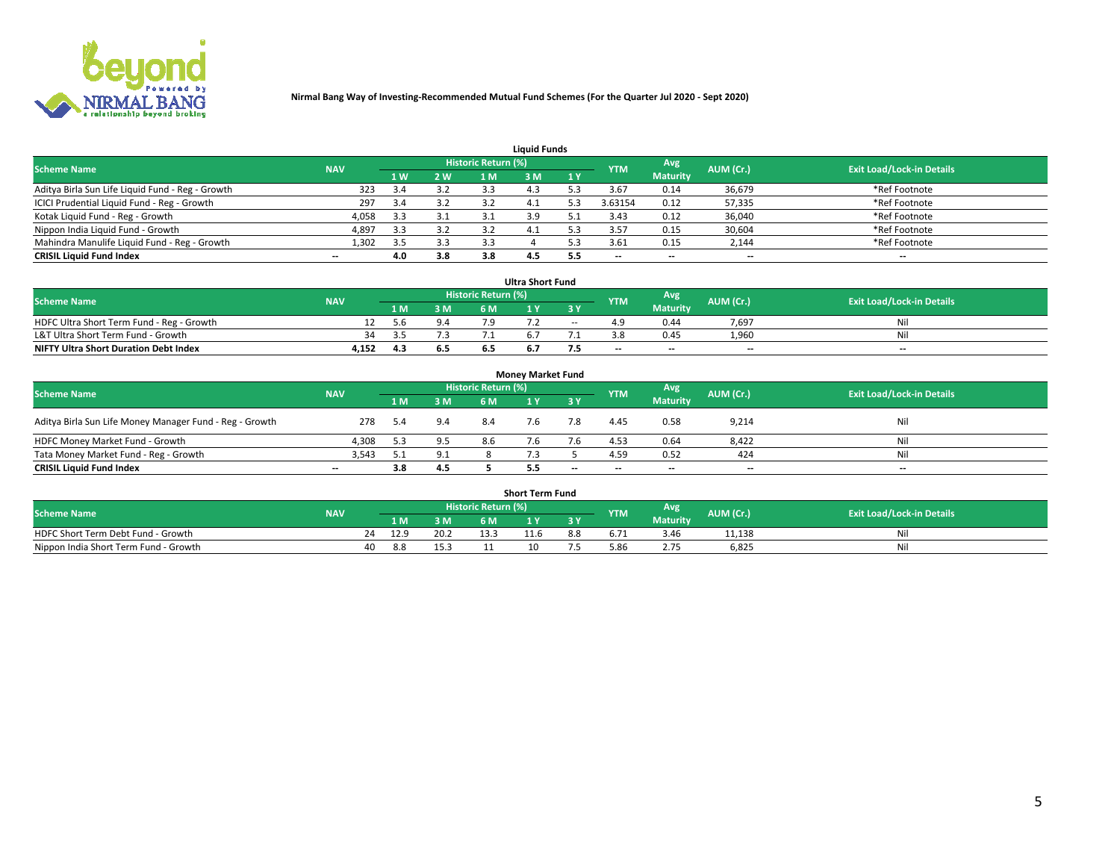

| <b>Liauid Funds</b>                              |            |     |     |                            |     |     |                          |                 |                          |                                  |  |  |  |  |
|--------------------------------------------------|------------|-----|-----|----------------------------|-----|-----|--------------------------|-----------------|--------------------------|----------------------------------|--|--|--|--|
| <b>Scheme Name</b>                               | <b>NAV</b> |     |     | <b>Historic Return (%)</b> |     |     | <b>YTM</b>               | Avg             | AUM (Cr.)                | <b>Exit Load/Lock-in Details</b> |  |  |  |  |
|                                                  |            | 1 W | 2 W | 1 M                        | ዩ M | 1Y  |                          | <b>Maturity</b> |                          |                                  |  |  |  |  |
| Aditya Birla Sun Life Liquid Fund - Reg - Growth | 323        |     | 3.2 | 3.3                        |     |     | 3.67                     | 0.14            | 36,679                   | *Ref Footnote                    |  |  |  |  |
| ICICI Prudential Liquid Fund - Reg - Growth      | 297        | 3.4 | 3.2 |                            | 4.⊥ |     | 3.63154                  | 0.12            | 57,335                   | *Ref Footnote                    |  |  |  |  |
| Kotak Liquid Fund - Reg - Growth                 | 4,058      | 3.3 | 3.1 |                            | 3.9 |     | 3.43                     | 0.12            | 36,040                   | *Ref Footnote                    |  |  |  |  |
| Nippon India Liquid Fund - Growth                | 4,897      | 3.3 | 3.2 | -3.2                       | 4.1 |     | 3.57                     | 0.15            | 30,604                   | *Ref Footnote                    |  |  |  |  |
| Mahindra Manulife Liquid Fund - Reg - Growth     | 1,302      | 3.5 | 3.3 | 3.3                        |     |     | 3.61                     | 0.15            | 2,144                    | *Ref Footnote                    |  |  |  |  |
| <b>CRISIL Liquid Fund Index</b>                  | $- -$      | 4.0 | 3.8 | 3.8                        | 4.3 | 5.5 | $\overline{\phantom{a}}$ | $- -$           | $\overline{\phantom{a}}$ | $\overline{\phantom{m}}$         |  |  |  |  |

| <b>Ultra Short Fund</b>                      |            |       |     |                            |  |        |            |                 |                          |                                  |  |  |  |  |
|----------------------------------------------|------------|-------|-----|----------------------------|--|--------|------------|-----------------|--------------------------|----------------------------------|--|--|--|--|
| <b>Scheme Name</b>                           | <b>NAV</b> |       |     | <b>Historic Return (%)</b> |  |        | <b>YTM</b> | Avg             | AUM (Cr.)                | <b>Exit Load/Lock-in Details</b> |  |  |  |  |
|                                              |            | 1 M.  | 3 M | 6 M                        |  | 3 Y    |            | <b>Maturity</b> |                          |                                  |  |  |  |  |
| HDFC Ultra Short Term Fund - Reg - Growth    |            | 5.6   | 9.4 |                            |  | $\sim$ |            | 0.44            | 7,697                    | Nil                              |  |  |  |  |
| L&T Ultra Short Term Fund - Growth           | 34.        | - - - |     |                            |  |        |            | 0.45            | 1.960                    | Nil                              |  |  |  |  |
| <b>NIFTY Ultra Short Duration Debt Index</b> | 4,152      | 4.3   | 6.5 |                            |  |        | $- -$      | $- -$           | $\overline{\phantom{a}}$ | $- -$                            |  |  |  |  |

| <b>Money Market Fund</b>                                |            |       |     |                     |  |           |                          |                 |                          |                                  |  |  |  |  |
|---------------------------------------------------------|------------|-------|-----|---------------------|--|-----------|--------------------------|-----------------|--------------------------|----------------------------------|--|--|--|--|
| <b>Scheme Name</b>                                      | <b>NAV</b> |       |     | Historic Return (%) |  |           | <b>YTM</b>               | Avg             | AUM (Cr.)                | <b>Exit Load/Lock-in Details</b> |  |  |  |  |
|                                                         |            | 1 M   | 3 M | 6 M                 |  | <b>3Y</b> |                          | <b>Maturity</b> |                          |                                  |  |  |  |  |
| Aditya Birla Sun Life Money Manager Fund - Reg - Growth | 278        | - 5.4 | 9.4 | 8.4                 |  | 7.8       | 4.45                     | 0.58            | 9,214                    | Nil                              |  |  |  |  |
| HDFC Money Market Fund - Growth                         | 4.308      | 5.3   | 9.5 | 8.6                 |  |           | 4.53                     | 0.64            | 8,422                    | Nil                              |  |  |  |  |
| Tata Money Market Fund - Reg - Growth                   | 3,543      |       | 9.1 |                     |  |           | 4.59                     | 0.52            | 424                      | Nil                              |  |  |  |  |
| <b>CRISIL Liquid Fund Index</b>                         | $- -$      | 3.8   | 4.5 |                     |  | $- -$     | $\overline{\phantom{a}}$ | $- -$           | $\overline{\phantom{a}}$ | $- -$                            |  |  |  |  |

|                                       |            |       |      |                     | <b>Short Term Fund</b> |     |      |                 |           |                                  |
|---------------------------------------|------------|-------|------|---------------------|------------------------|-----|------|-----------------|-----------|----------------------------------|
| <b>Scheme Name</b>                    | <b>NAV</b> |       |      | Historic Return (%) |                        |     | YTM  | Avg             | AUM (Cr.) | <b>Exit Load/Lock-in Details</b> |
|                                       |            | 1 M . | 3 M  | 6 M                 |                        | 2V  |      | <b>Maturity</b> |           |                                  |
| HDFC Short Term Debt Fund - Growth    | 24         | 12.9  | 20.2 |                     | 11.6                   | 8.8 |      | 3.46            | 11,138    | M                                |
| Nippon India Short Term Fund - Growth | 40         | 8.8   |      |                     |                        |     | 5.86 |                 | 6,825     | N                                |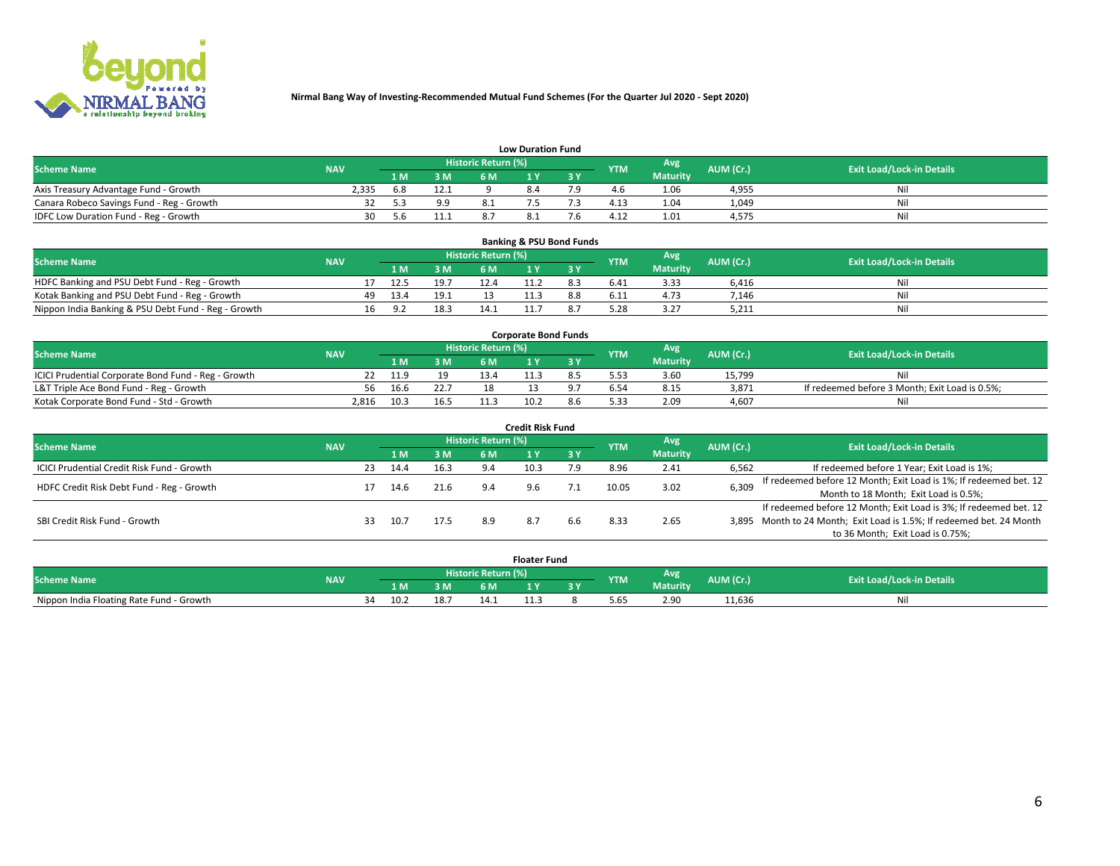

|                                           | <b>Low Duration Fund</b> |      |      |                     |     |     |                  |                 |           |                                  |  |  |  |  |  |
|-------------------------------------------|--------------------------|------|------|---------------------|-----|-----|------------------|-----------------|-----------|----------------------------------|--|--|--|--|--|
| <b>Scheme Name</b>                        | <b>NAV</b>               |      |      | Historic Return (%) |     |     | <b>YTM</b>       | Avg             | AUM (Cr.) | <b>Exit Load/Lock-in Details</b> |  |  |  |  |  |
|                                           |                          | L M. | 3 M  |                     |     | 3 Y |                  | <b>Maturity</b> |           |                                  |  |  |  |  |  |
| Axis Treasury Advantage Fund - Growth     | 2.335                    | 6.8  | 12.1 |                     | 8.4 |     |                  | 1.06            | 4,955     | Nil                              |  |  |  |  |  |
| Canara Robeco Savings Fund - Reg - Growth |                          |      | 9.9  |                     |     |     | 4.1 <sup>2</sup> | 1.04            | 1,049     | Nil                              |  |  |  |  |  |
| IDFC Low Duration Fund - Reg - Growth     | 30                       | 5.h  | 11.  |                     |     |     | 4.17             | 1.01            | 4,575     | Nil                              |  |  |  |  |  |

| <b>Banking &amp; PSU Bond Funds</b>                 |            |    |                |      |                            |  |  |            |                 |           |                                  |  |  |  |
|-----------------------------------------------------|------------|----|----------------|------|----------------------------|--|--|------------|-----------------|-----------|----------------------------------|--|--|--|
| <b>Scheme Name</b>                                  | <b>NAV</b> |    |                |      | <b>Historic Return (%)</b> |  |  | <b>YTM</b> | Avg             | AUM (Cr.) | <b>Exit Load/Lock-in Details</b> |  |  |  |
|                                                     |            |    | 1 M.           | 3M   | 6 M                        |  |  |            | <b>Maturity</b> |           |                                  |  |  |  |
| HDFC Banking and PSU Debt Fund - Reg - Growth       |            |    | 12.5           | 19.7 | 12.4                       |  |  | 6.41       | 3.33            | 6.416     | Nil                              |  |  |  |
| Kotak Banking and PSU Debt Fund - Reg - Growth      |            | 49 | 13.4           | 19.1 |                            |  |  | 6.11       | 4.73            | 7.146     | Ni                               |  |  |  |
| Nippon India Banking & PSU Debt Fund - Reg - Growth |            | 16 | 9 <sub>2</sub> | 18.3 | 14.1                       |  |  | 5.28       | 3.27            | 5,211     | Nil                              |  |  |  |

| <b>Corporate Bond Funds</b>                         |            |      |      |                            |      |  |            |          |           |                                                |  |  |  |  |
|-----------------------------------------------------|------------|------|------|----------------------------|------|--|------------|----------|-----------|------------------------------------------------|--|--|--|--|
| <b>Scheme Name</b>                                  | <b>NAV</b> |      |      | <b>Historic Return (%)</b> |      |  | <b>YTM</b> | Avg      | AUM (Cr.) | <b>Exit Load/Lock-in Details</b>               |  |  |  |  |
|                                                     |            |      | 3 M  | 6 M.                       |      |  |            | Maturity |           |                                                |  |  |  |  |
| ICICI Prudential Corporate Bond Fund - Reg - Growth |            | 11.9 |      | 13.4                       |      |  |            | 3.60     | 15.799    | Nil                                            |  |  |  |  |
| L&T Triple Ace Bond Fund - Reg - Growth             | 56         | 16.6 | 22.7 |                            |      |  |            | 8.15     | 3,871     | If redeemed before 3 Month; Exit Load is 0.5%; |  |  |  |  |
| Kotak Corporate Bond Fund - Std - Growth            | 2.816      | 10.3 | 16.5 |                            | 10.2 |  | 5.33       | 2.09     | 4.607     | Nil                                            |  |  |  |  |

| <b>Credit Risk Fund</b>                    |            |     |      |      |                            |      |           |            |                 |           |                                                                       |  |  |  |
|--------------------------------------------|------------|-----|------|------|----------------------------|------|-----------|------------|-----------------|-----------|-----------------------------------------------------------------------|--|--|--|
| <b>Scheme Name</b>                         | <b>NAV</b> |     |      |      | <b>Historic Return (%)</b> |      |           | <b>YTM</b> | Avg             | AUM (Cr.) | <b>Exit Load/Lock-in Details</b>                                      |  |  |  |
|                                            |            |     | 1 M  | 3 M  | 6 M                        |      | <b>3Y</b> |            | <b>Maturity</b> |           |                                                                       |  |  |  |
| ICICI Prudential Credit Risk Fund - Growth |            | 23  | 14.4 | 16.3 | 9.4                        | 10.3 | 7.9       | 8.96       | 2.41            | 6,562     | If redeemed before 1 Year; Exit Load is 1%;                           |  |  |  |
| HDFC Credit Risk Debt Fund - Reg - Growth  |            |     | 14.6 |      | 9.4                        | 9.6  |           | 10.05      | 3.02            | 6,309     | If redeemed before 12 Month; Exit Load is 1%; If redeemed bet. 12     |  |  |  |
|                                            |            |     |      |      |                            |      |           |            |                 |           | Month to 18 Month; Exit Load is 0.5%;                                 |  |  |  |
|                                            |            |     |      |      |                            |      |           |            |                 |           | If redeemed before 12 Month; Exit Load is 3%; If redeemed bet. 12     |  |  |  |
| SBI Credit Risk Fund - Growth              |            | 33. | 10.7 | 17.5 | 8.9                        |      | 6.6       | 8.33       | 2.65            |           | 3,895 Month to 24 Month; Exit Load is 1.5%; If redeemed bet. 24 Month |  |  |  |
|                                            |            |     |      |      |                            |      |           |            |                 |           | to 36 Month; Exit Load is 0.75%;                                      |  |  |  |

| <b>Floater Fund</b>                      |            |    |      |      |                       |   |   |            |                 |           |                                  |
|------------------------------------------|------------|----|------|------|-----------------------|---|---|------------|-----------------|-----------|----------------------------------|
| <b>Scheme Name</b>                       | <b>NAV</b> |    |      |      | Historic Return (%) \ |   |   | <b>YTM</b> | Avg             | AUM (Cr.) | <b>Exit Load/Lock-in Details</b> |
|                                          |            |    | 1 M  | ЗM   | 6 M                   | . | . |            | <b>Maturity</b> |           |                                  |
| Nippon India Floating Rate Fund - Growth |            | 34 | 10.2 | 18.7 | 14.1                  |   |   | 5.65       | 2.90            | 11,636    | NL                               |